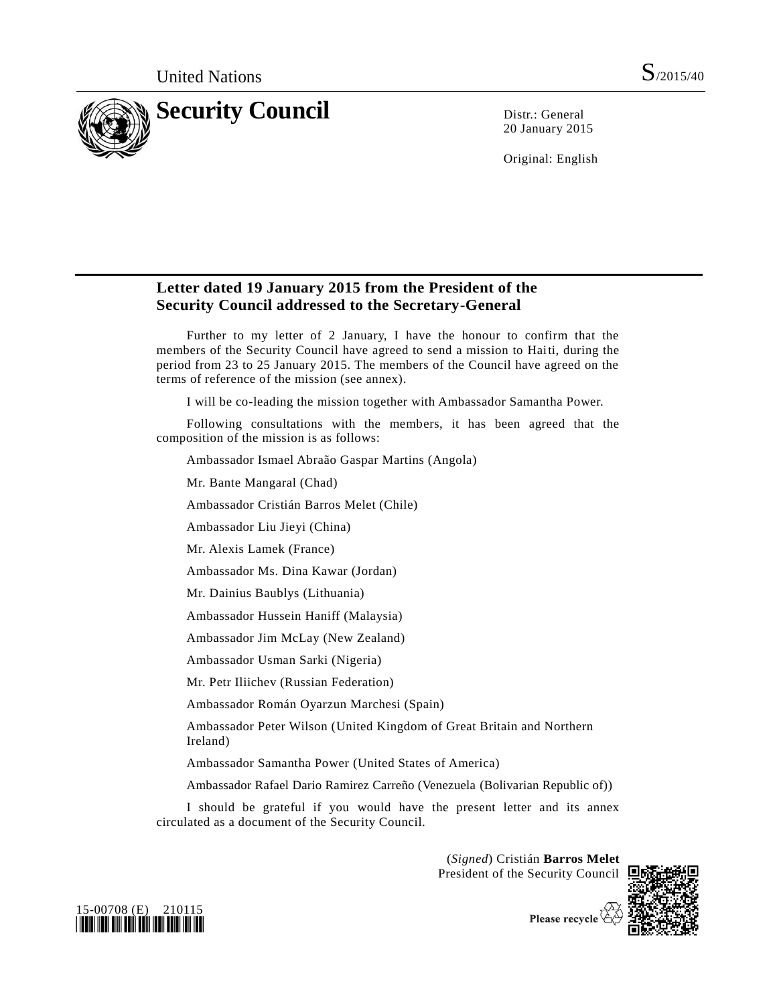

20 January 2015

Original: English

## **Letter dated 19 January 2015 from the President of the Security Council addressed to the Secretary-General**

Further to my letter of 2 January, I have the honour to confirm that the members of the Security Council have agreed to send a mission to Haiti, during the period from 23 to 25 January 2015. The members of the Council have agreed on the terms of reference of the mission (see annex).

I will be co-leading the mission together with Ambassador Samantha Power.

Following consultations with the members, it has been agreed that the composition of the mission is as follows:

Ambassador Ismael Abraão Gaspar Martins (Angola)

Mr. Bante Mangaral (Chad)

Ambassador Cristián Barros Melet (Chile)

Ambassador Liu Jieyi (China)

Mr. Alexis Lamek (France)

Ambassador Ms. Dina Kawar (Jordan)

Mr. Dainius Baublys (Lithuania)

Ambassador Hussein Haniff (Malaysia)

Ambassador Jim McLay (New Zealand)

Ambassador Usman Sarki (Nigeria)

Mr. Petr Iliichev (Russian Federation)

Ambassador Román Oyarzun Marchesi (Spain)

Ambassador Peter Wilson (United Kingdom of Great Britain and Northern Ireland)

Ambassador Samantha Power (United States of America)

Ambassador Rafael Dario Ramirez Carreño (Venezuela (Bolivarian Republic of))

I should be grateful if you would have the present letter and its annex circulated as a document of the Security Council.

> (*Signed*) Cristián **Barros Melet** President of the Security Council







Please recycle  $\overline{\mathfrak{S}}$